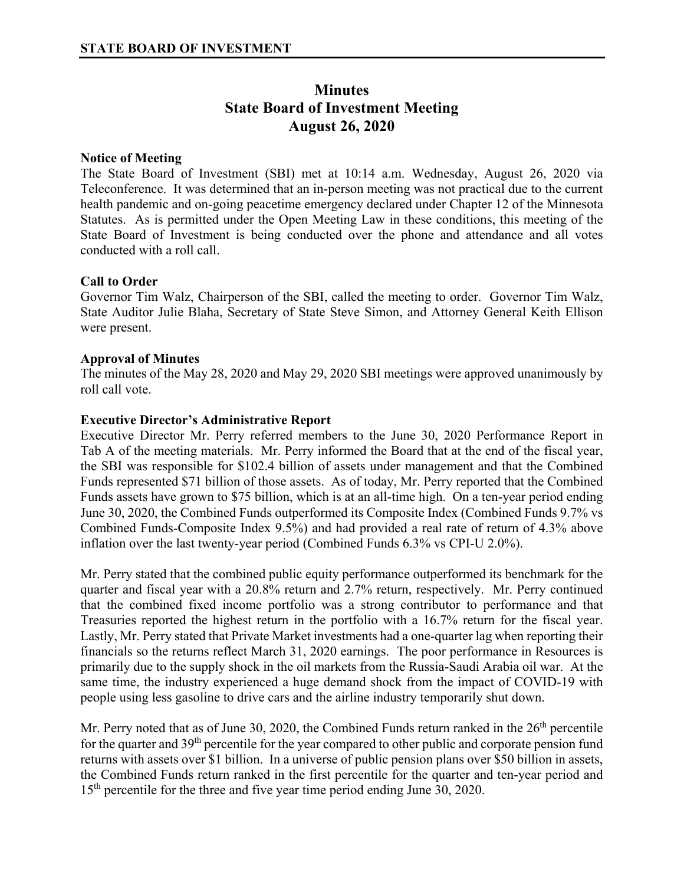# **Minutes State Board of Investment Meeting August 26, 2020**

## **Notice of Meeting**

The State Board of Investment (SBI) met at 10:14 a.m. Wednesday, August 26, 2020 via Teleconference. It was determined that an in-person meeting was not practical due to the current health pandemic and on-going peacetime emergency declared under Chapter 12 of the Minnesota Statutes. As is permitted under the Open Meeting Law in these conditions, this meeting of the State Board of Investment is being conducted over the phone and attendance and all votes conducted with a roll call.

### **Call to Order**

Governor Tim Walz, Chairperson of the SBI, called the meeting to order. Governor Tim Walz, State Auditor Julie Blaha, Secretary of State Steve Simon, and Attorney General Keith Ellison were present.

### **Approval of Minutes**

The minutes of the May 28, 2020 and May 29, 2020 SBI meetings were approved unanimously by roll call vote.

### **Executive Director's Administrative Report**

Executive Director Mr. Perry referred members to the June 30, 2020 Performance Report in Tab A of the meeting materials. Mr. Perry informed the Board that at the end of the fiscal year, the SBI was responsible for \$102.4 billion of assets under management and that the Combined Funds represented \$71 billion of those assets. As of today, Mr. Perry reported that the Combined Funds assets have grown to \$75 billion, which is at an all-time high. On a ten-year period ending June 30, 2020, the Combined Funds outperformed its Composite Index (Combined Funds 9.7% vs Combined Funds-Composite Index 9.5%) and had provided a real rate of return of 4.3% above inflation over the last twenty-year period (Combined Funds 6.3% vs CPI-U 2.0%).

Mr. Perry stated that the combined public equity performance outperformed its benchmark for the quarter and fiscal year with a 20.8% return and 2.7% return, respectively. Mr. Perry continued that the combined fixed income portfolio was a strong contributor to performance and that Treasuries reported the highest return in the portfolio with a 16.7% return for the fiscal year. Lastly, Mr. Perry stated that Private Market investments had a one-quarter lag when reporting their financials so the returns reflect March 31, 2020 earnings. The poor performance in Resources is primarily due to the supply shock in the oil markets from the Russia-Saudi Arabia oil war. At the same time, the industry experienced a huge demand shock from the impact of COVID-19 with people using less gasoline to drive cars and the airline industry temporarily shut down.

Mr. Perry noted that as of June 30, 2020, the Combined Funds return ranked in the 26<sup>th</sup> percentile for the quarter and 39<sup>th</sup> percentile for the year compared to other public and corporate pension fund returns with assets over \$1 billion. In a universe of public pension plans over \$50 billion in assets, the Combined Funds return ranked in the first percentile for the quarter and ten-year period and 15<sup>th</sup> percentile for the three and five year time period ending June 30, 2020.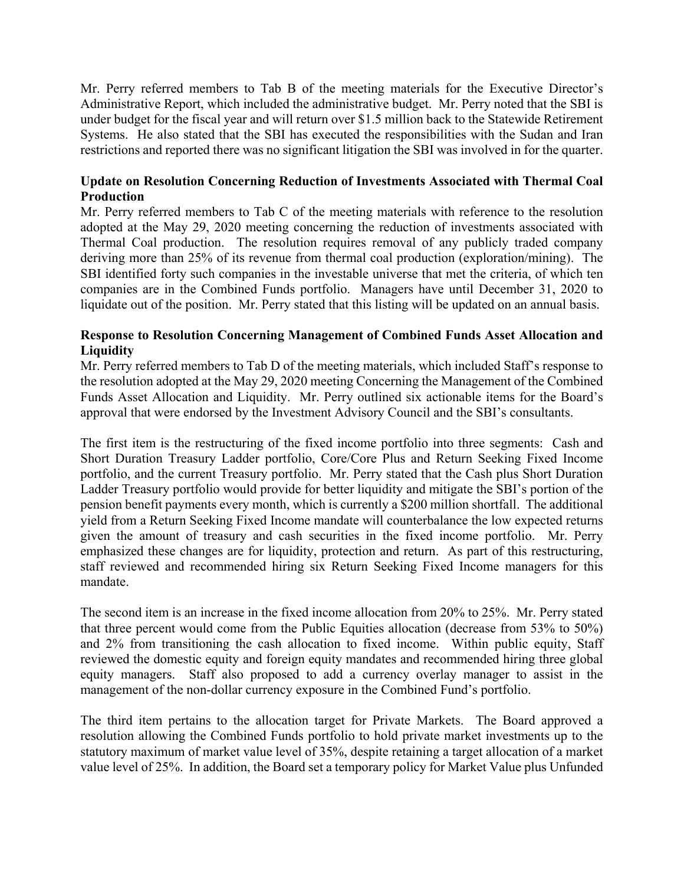Mr. Perry referred members to Tab B of the meeting materials for the Executive Director's Administrative Report, which included the administrative budget. Mr. Perry noted that the SBI is under budget for the fiscal year and will return over \$1.5 million back to the Statewide Retirement Systems. He also stated that the SBI has executed the responsibilities with the Sudan and Iran restrictions and reported there was no significant litigation the SBI was involved in for the quarter.

# **Update on Resolution Concerning Reduction of Investments Associated with Thermal Coal Production**

Mr. Perry referred members to Tab C of the meeting materials with reference to the resolution adopted at the May 29, 2020 meeting concerning the reduction of investments associated with Thermal Coal production. The resolution requires removal of any publicly traded company deriving more than 25% of its revenue from thermal coal production (exploration/mining). The SBI identified forty such companies in the investable universe that met the criteria, of which ten companies are in the Combined Funds portfolio. Managers have until December 31, 2020 to liquidate out of the position. Mr. Perry stated that this listing will be updated on an annual basis.

# **Response to Resolution Concerning Management of Combined Funds Asset Allocation and Liquidity**

Mr. Perry referred members to Tab D of the meeting materials, which included Staff's response to the resolution adopted at the May 29, 2020 meeting Concerning the Management of the Combined Funds Asset Allocation and Liquidity. Mr. Perry outlined six actionable items for the Board's approval that were endorsed by the Investment Advisory Council and the SBI's consultants.

The first item is the restructuring of the fixed income portfolio into three segments: Cash and Short Duration Treasury Ladder portfolio, Core/Core Plus and Return Seeking Fixed Income portfolio, and the current Treasury portfolio. Mr. Perry stated that the Cash plus Short Duration Ladder Treasury portfolio would provide for better liquidity and mitigate the SBI's portion of the pension benefit payments every month, which is currently a \$200 million shortfall. The additional yield from a Return Seeking Fixed Income mandate will counterbalance the low expected returns given the amount of treasury and cash securities in the fixed income portfolio. Mr. Perry emphasized these changes are for liquidity, protection and return. As part of this restructuring, staff reviewed and recommended hiring six Return Seeking Fixed Income managers for this mandate.

The second item is an increase in the fixed income allocation from 20% to 25%. Mr. Perry stated that three percent would come from the Public Equities allocation (decrease from 53% to 50%) and 2% from transitioning the cash allocation to fixed income. Within public equity, Staff reviewed the domestic equity and foreign equity mandates and recommended hiring three global equity managers. Staff also proposed to add a currency overlay manager to assist in the management of the non-dollar currency exposure in the Combined Fund's portfolio.

The third item pertains to the allocation target for Private Markets. The Board approved a resolution allowing the Combined Funds portfolio to hold private market investments up to the statutory maximum of market value level of 35%, despite retaining a target allocation of a market value level of 25%. In addition, the Board set a temporary policy for Market Value plus Unfunded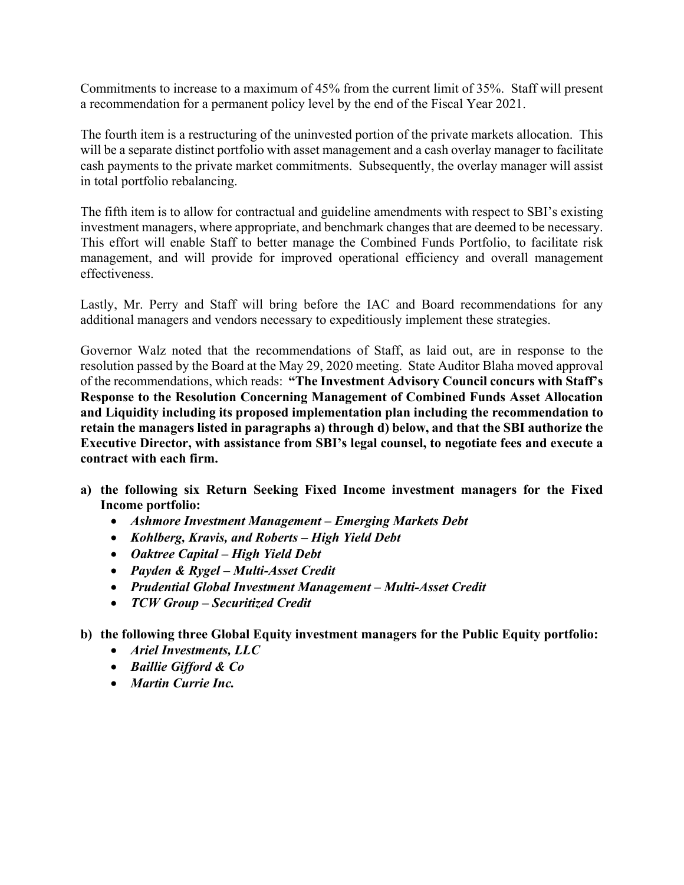Commitments to increase to a maximum of 45% from the current limit of 35%. Staff will present a recommendation for a permanent policy level by the end of the Fiscal Year 2021.

The fourth item is a restructuring of the uninvested portion of the private markets allocation. This will be a separate distinct portfolio with asset management and a cash overlay manager to facilitate cash payments to the private market commitments. Subsequently, the overlay manager will assist in total portfolio rebalancing.

The fifth item is to allow for contractual and guideline amendments with respect to SBI's existing investment managers, where appropriate, and benchmark changes that are deemed to be necessary. This effort will enable Staff to better manage the Combined Funds Portfolio, to facilitate risk management, and will provide for improved operational efficiency and overall management effectiveness.

Lastly, Mr. Perry and Staff will bring before the IAC and Board recommendations for any additional managers and vendors necessary to expeditiously implement these strategies.

Governor Walz noted that the recommendations of Staff, as laid out, are in response to the resolution passed by the Board at the May 29, 2020 meeting. State Auditor Blaha moved approval of the recommendations, which reads: **"The Investment Advisory Council concurs with Staff's Response to the Resolution Concerning Management of Combined Funds Asset Allocation and Liquidity including its proposed implementation plan including the recommendation to retain the managers listed in paragraphs a) through d) below, and that the SBI authorize the Executive Director, with assistance from SBI's legal counsel, to negotiate fees and execute a contract with each firm.** 

- **a) the following six Return Seeking Fixed Income investment managers for the Fixed Income portfolio:** 
	- *Ashmore Investment Management Emerging Markets Debt*
	- *Kohlberg, Kravis, and Roberts High Yield Debt*
	- *Oaktree Capital High Yield Debt*
	- *Payden & Rygel Multi-Asset Credit*
	- *Prudential Global Investment Management Multi-Asset Credit*
	- *TCW Group Securitized Credit*
- **b) the following three Global Equity investment managers for the Public Equity portfolio:** 
	- *Ariel Investments, LLC*
	- *Baillie Gifford & Co*
	- *Martin Currie Inc.*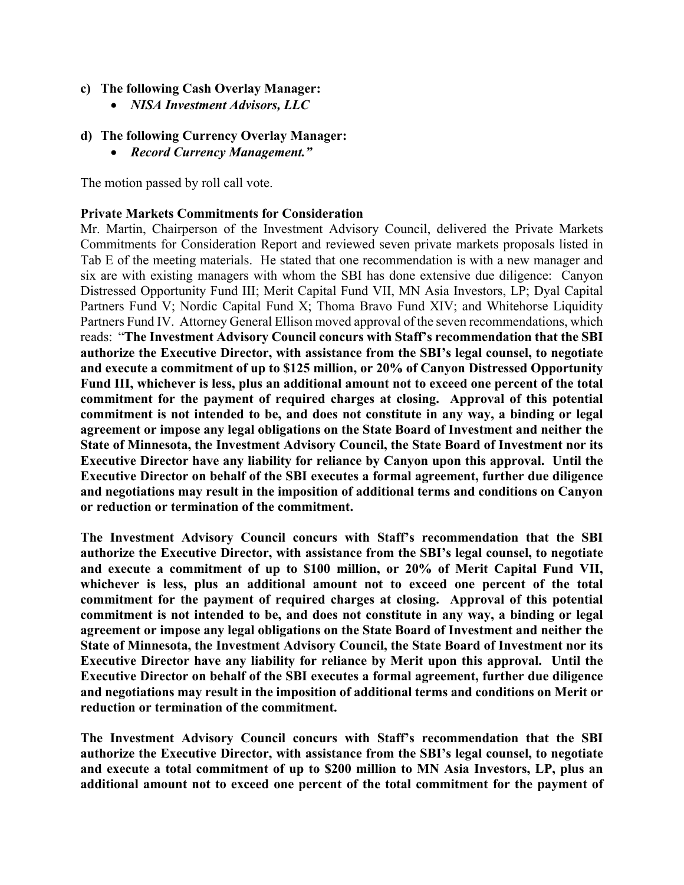# **c) The following Cash Overlay Manager:**

- *NISA Investment Advisors, LLC*
- **d) The following Currency Overlay Manager:** 
	- *Record Currency Management."*

The motion passed by roll call vote.

# **Private Markets Commitments for Consideration**

Mr. Martin, Chairperson of the Investment Advisory Council, delivered the Private Markets Commitments for Consideration Report and reviewed seven private markets proposals listed in Tab E of the meeting materials. He stated that one recommendation is with a new manager and six are with existing managers with whom the SBI has done extensive due diligence: Canyon Distressed Opportunity Fund III; Merit Capital Fund VII, MN Asia Investors, LP; Dyal Capital Partners Fund V; Nordic Capital Fund X; Thoma Bravo Fund XIV; and Whitehorse Liquidity Partners Fund IV. Attorney General Ellison moved approval of the seven recommendations, which reads: "**The Investment Advisory Council concurs with Staff's recommendation that the SBI authorize the Executive Director, with assistance from the SBI's legal counsel, to negotiate and execute a commitment of up to \$125 million, or 20% of Canyon Distressed Opportunity Fund III, whichever is less, plus an additional amount not to exceed one percent of the total commitment for the payment of required charges at closing. Approval of this potential commitment is not intended to be, and does not constitute in any way, a binding or legal agreement or impose any legal obligations on the State Board of Investment and neither the State of Minnesota, the Investment Advisory Council, the State Board of Investment nor its Executive Director have any liability for reliance by Canyon upon this approval. Until the Executive Director on behalf of the SBI executes a formal agreement, further due diligence and negotiations may result in the imposition of additional terms and conditions on Canyon or reduction or termination of the commitment.** 

**The Investment Advisory Council concurs with Staff's recommendation that the SBI authorize the Executive Director, with assistance from the SBI's legal counsel, to negotiate and execute a commitment of up to \$100 million, or 20% of Merit Capital Fund VII, whichever is less, plus an additional amount not to exceed one percent of the total commitment for the payment of required charges at closing. Approval of this potential commitment is not intended to be, and does not constitute in any way, a binding or legal agreement or impose any legal obligations on the State Board of Investment and neither the State of Minnesota, the Investment Advisory Council, the State Board of Investment nor its Executive Director have any liability for reliance by Merit upon this approval. Until the Executive Director on behalf of the SBI executes a formal agreement, further due diligence and negotiations may result in the imposition of additional terms and conditions on Merit or reduction or termination of the commitment.** 

**The Investment Advisory Council concurs with Staff's recommendation that the SBI authorize the Executive Director, with assistance from the SBI's legal counsel, to negotiate and execute a total commitment of up to \$200 million to MN Asia Investors, LP, plus an additional amount not to exceed one percent of the total commitment for the payment of**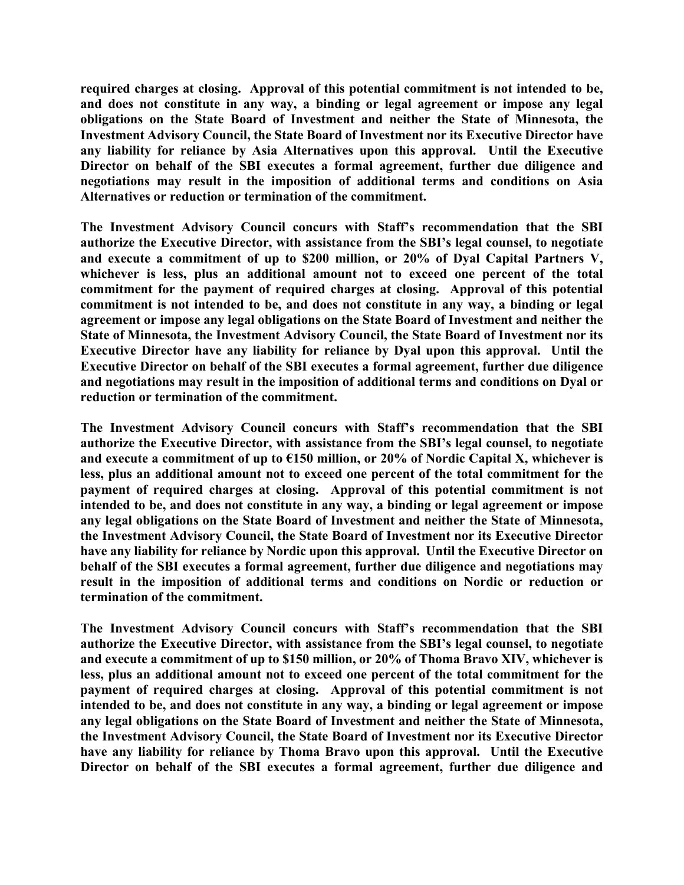**required charges at closing. Approval of this potential commitment is not intended to be, and does not constitute in any way, a binding or legal agreement or impose any legal obligations on the State Board of Investment and neither the State of Minnesota, the Investment Advisory Council, the State Board of Investment nor its Executive Director have any liability for reliance by Asia Alternatives upon this approval. Until the Executive Director on behalf of the SBI executes a formal agreement, further due diligence and negotiations may result in the imposition of additional terms and conditions on Asia Alternatives or reduction or termination of the commitment.** 

**The Investment Advisory Council concurs with Staff's recommendation that the SBI authorize the Executive Director, with assistance from the SBI's legal counsel, to negotiate and execute a commitment of up to \$200 million, or 20% of Dyal Capital Partners V, whichever is less, plus an additional amount not to exceed one percent of the total commitment for the payment of required charges at closing. Approval of this potential commitment is not intended to be, and does not constitute in any way, a binding or legal agreement or impose any legal obligations on the State Board of Investment and neither the State of Minnesota, the Investment Advisory Council, the State Board of Investment nor its Executive Director have any liability for reliance by Dyal upon this approval. Until the Executive Director on behalf of the SBI executes a formal agreement, further due diligence and negotiations may result in the imposition of additional terms and conditions on Dyal or reduction or termination of the commitment.** 

**The Investment Advisory Council concurs with Staff's recommendation that the SBI authorize the Executive Director, with assistance from the SBI's legal counsel, to negotiate and execute a commitment of up to €150 million, or 20% of Nordic Capital X, whichever is less, plus an additional amount not to exceed one percent of the total commitment for the payment of required charges at closing. Approval of this potential commitment is not intended to be, and does not constitute in any way, a binding or legal agreement or impose any legal obligations on the State Board of Investment and neither the State of Minnesota, the Investment Advisory Council, the State Board of Investment nor its Executive Director have any liability for reliance by Nordic upon this approval. Until the Executive Director on behalf of the SBI executes a formal agreement, further due diligence and negotiations may result in the imposition of additional terms and conditions on Nordic or reduction or termination of the commitment.** 

**The Investment Advisory Council concurs with Staff's recommendation that the SBI authorize the Executive Director, with assistance from the SBI's legal counsel, to negotiate and execute a commitment of up to \$150 million, or 20% of Thoma Bravo XIV, whichever is less, plus an additional amount not to exceed one percent of the total commitment for the payment of required charges at closing. Approval of this potential commitment is not intended to be, and does not constitute in any way, a binding or legal agreement or impose any legal obligations on the State Board of Investment and neither the State of Minnesota, the Investment Advisory Council, the State Board of Investment nor its Executive Director have any liability for reliance by Thoma Bravo upon this approval. Until the Executive Director on behalf of the SBI executes a formal agreement, further due diligence and**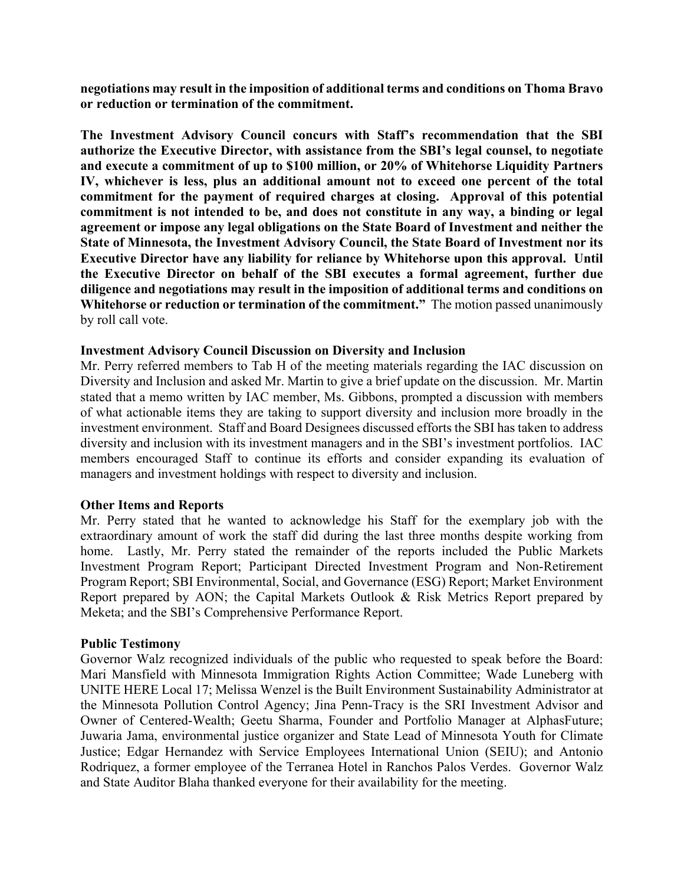**negotiations may result in the imposition of additional terms and conditions on Thoma Bravo or reduction or termination of the commitment.** 

**The Investment Advisory Council concurs with Staff's recommendation that the SBI authorize the Executive Director, with assistance from the SBI's legal counsel, to negotiate and execute a commitment of up to \$100 million, or 20% of Whitehorse Liquidity Partners IV, whichever is less, plus an additional amount not to exceed one percent of the total commitment for the payment of required charges at closing. Approval of this potential commitment is not intended to be, and does not constitute in any way, a binding or legal agreement or impose any legal obligations on the State Board of Investment and neither the State of Minnesota, the Investment Advisory Council, the State Board of Investment nor its Executive Director have any liability for reliance by Whitehorse upon this approval. Until the Executive Director on behalf of the SBI executes a formal agreement, further due diligence and negotiations may result in the imposition of additional terms and conditions on Whitehorse or reduction or termination of the commitment."** The motion passed unanimously by roll call vote.

#### **Investment Advisory Council Discussion on Diversity and Inclusion**

Mr. Perry referred members to Tab H of the meeting materials regarding the IAC discussion on Diversity and Inclusion and asked Mr. Martin to give a brief update on the discussion. Mr. Martin stated that a memo written by IAC member, Ms. Gibbons, prompted a discussion with members of what actionable items they are taking to support diversity and inclusion more broadly in the investment environment. Staff and Board Designees discussed efforts the SBI has taken to address diversity and inclusion with its investment managers and in the SBI's investment portfolios. IAC members encouraged Staff to continue its efforts and consider expanding its evaluation of managers and investment holdings with respect to diversity and inclusion.

#### **Other Items and Reports**

Mr. Perry stated that he wanted to acknowledge his Staff for the exemplary job with the extraordinary amount of work the staff did during the last three months despite working from home. Lastly, Mr. Perry stated the remainder of the reports included the Public Markets Investment Program Report; Participant Directed Investment Program and Non-Retirement Program Report; SBI Environmental, Social, and Governance (ESG) Report; Market Environment Report prepared by AON; the Capital Markets Outlook & Risk Metrics Report prepared by Meketa; and the SBI's Comprehensive Performance Report.

#### **Public Testimony**

Governor Walz recognized individuals of the public who requested to speak before the Board: Mari Mansfield with Minnesota Immigration Rights Action Committee; Wade Luneberg with UNITE HERE Local 17; Melissa Wenzel is the Built Environment Sustainability Administrator at the Minnesota Pollution Control Agency; Jina Penn-Tracy is the SRI Investment Advisor and Owner of Centered-Wealth; Geetu Sharma, Founder and Portfolio Manager at AlphasFuture; Juwaria Jama, environmental justice organizer and State Lead of Minnesota Youth for Climate Justice; Edgar Hernandez with Service Employees International Union (SEIU); and Antonio Rodriquez, a former employee of the Terranea Hotel in Ranchos Palos Verdes. Governor Walz and State Auditor Blaha thanked everyone for their availability for the meeting.